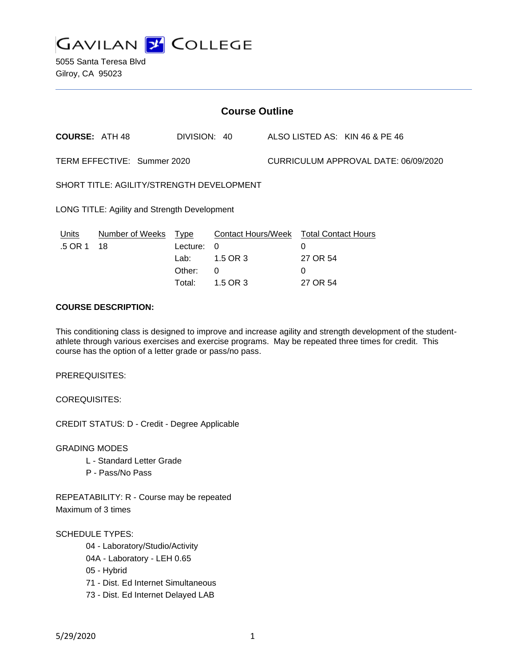

| <b>Course Outline</b>                        |                 |              |                                        |                                      |          |                                |
|----------------------------------------------|-----------------|--------------|----------------------------------------|--------------------------------------|----------|--------------------------------|
| <b>COURSE: ATH 48</b>                        |                 | DIVISION: 40 |                                        |                                      |          | ALSO LISTED AS: KIN 46 & PE 46 |
| TERM EFFECTIVE: Summer 2020                  |                 |              |                                        | CURRICULUM APPROVAL DATE: 06/09/2020 |          |                                |
| SHORT TITLE: AGILITY/STRENGTH DEVELOPMENT    |                 |              |                                        |                                      |          |                                |
| LONG TITLE: Agility and Strength Development |                 |              |                                        |                                      |          |                                |
| Units                                        | Number of Weeks | Type         | Contact Hours/Week Total Contact Hours |                                      |          |                                |
| .5 OR 1                                      | 18              | Lecture:     | 0                                      |                                      | 0        |                                |
|                                              |                 | Lab:         | 1.5 OR 3                               |                                      | 27 OR 54 |                                |
|                                              |                 | Other:       | 0                                      |                                      | 0        |                                |
|                                              |                 | Total:       | 1.5 OR 3                               |                                      | 27 OR 54 |                                |
|                                              |                 |              |                                        |                                      |          |                                |

# **COURSE DESCRIPTION:**

This conditioning class is designed to improve and increase agility and strength development of the studentathlete through various exercises and exercise programs. May be repeated three times for credit. This course has the option of a letter grade or pass/no pass.

PREREQUISITES:

COREQUISITES:

CREDIT STATUS: D - Credit - Degree Applicable

GRADING MODES

- L Standard Letter Grade
- P Pass/No Pass

REPEATABILITY: R - Course may be repeated Maximum of 3 times

## SCHEDULE TYPES:

- 04 Laboratory/Studio/Activity
- 04A Laboratory LEH 0.65
- 05 Hybrid
- 71 Dist. Ed Internet Simultaneous
- 73 Dist. Ed Internet Delayed LAB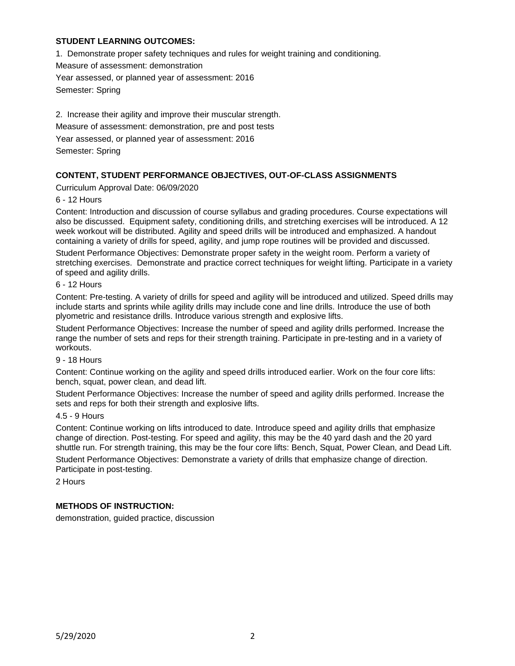## **STUDENT LEARNING OUTCOMES:**

1. Demonstrate proper safety techniques and rules for weight training and conditioning. Measure of assessment: demonstration

Year assessed, or planned year of assessment: 2016

Semester: Spring

2. Increase their agility and improve their muscular strength. Measure of assessment: demonstration, pre and post tests Year assessed, or planned year of assessment: 2016 Semester: Spring

## **CONTENT, STUDENT PERFORMANCE OBJECTIVES, OUT-OF-CLASS ASSIGNMENTS**

Curriculum Approval Date: 06/09/2020

#### 6 - 12 Hours

Content: Introduction and discussion of course syllabus and grading procedures. Course expectations will also be discussed. Equipment safety, conditioning drills, and stretching exercises will be introduced. A 12 week workout will be distributed. Agility and speed drills will be introduced and emphasized. A handout containing a variety of drills for speed, agility, and jump rope routines will be provided and discussed.

Student Performance Objectives: Demonstrate proper safety in the weight room. Perform a variety of stretching exercises. Demonstrate and practice correct techniques for weight lifting. Participate in a variety of speed and agility drills.

#### 6 - 12 Hours

Content: Pre-testing. A variety of drills for speed and agility will be introduced and utilized. Speed drills may include starts and sprints while agility drills may include cone and line drills. Introduce the use of both plyometric and resistance drills. Introduce various strength and explosive lifts.

Student Performance Objectives: Increase the number of speed and agility drills performed. Increase the range the number of sets and reps for their strength training. Participate in pre-testing and in a variety of workouts.

#### 9 - 18 Hours

Content: Continue working on the agility and speed drills introduced earlier. Work on the four core lifts: bench, squat, power clean, and dead lift.

Student Performance Objectives: Increase the number of speed and agility drills performed. Increase the sets and reps for both their strength and explosive lifts.

## 4.5 - 9 Hours

Content: Continue working on lifts introduced to date. Introduce speed and agility drills that emphasize change of direction. Post-testing. For speed and agility, this may be the 40 yard dash and the 20 yard shuttle run. For strength training, this may be the four core lifts: Bench, Squat, Power Clean, and Dead Lift.

Student Performance Objectives: Demonstrate a variety of drills that emphasize change of direction. Participate in post-testing.

2 Hours

## **METHODS OF INSTRUCTION:**

demonstration, guided practice, discussion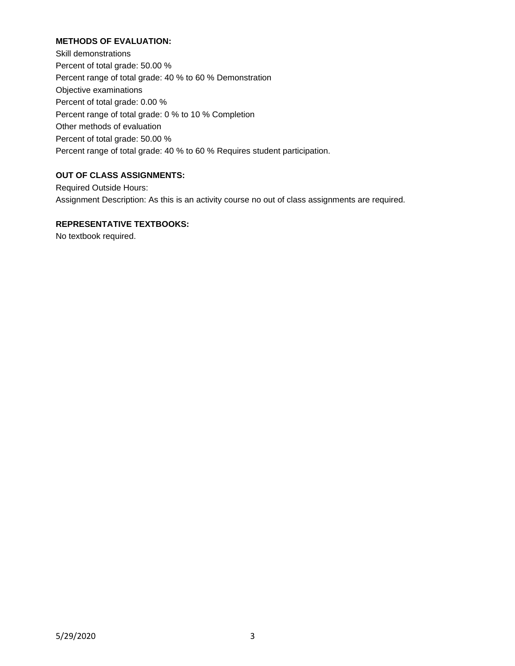# **METHODS OF EVALUATION:**

Skill demonstrations Percent of total grade: 50.00 % Percent range of total grade: 40 % to 60 % Demonstration Objective examinations Percent of total grade: 0.00 % Percent range of total grade: 0 % to 10 % Completion Other methods of evaluation Percent of total grade: 50.00 % Percent range of total grade: 40 % to 60 % Requires student participation.

# **OUT OF CLASS ASSIGNMENTS:**

Required Outside Hours: Assignment Description: As this is an activity course no out of class assignments are required.

# **REPRESENTATIVE TEXTBOOKS:**

No textbook required.